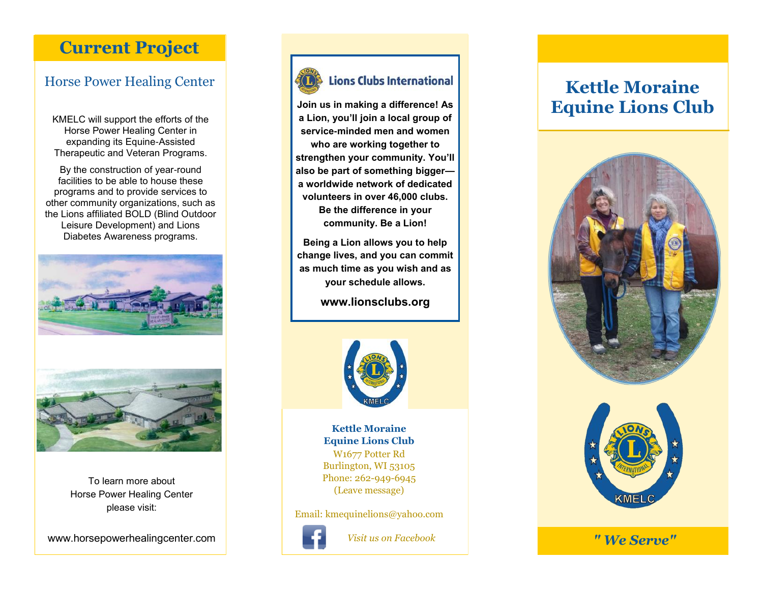## **Current Project**

### Horse Power Healing Center

KMELC will support the efforts of the Horse Power Healing Center in expanding its Equine-Assisted Therapeutic and Veteran Programs.

By the construction of year-round facilities to be able to house these programs and to provide services to other community organizations, such as the Lions affiliated BOLD (Blind Outdoor Leisure Development) and Lions Diabetes Awareness programs.



To learn more about Horse Power Healing Center please visit:

www.horsepowerhealingcenter.com



### **Lions Clubs International**

**Join us in making a difference! As a Lion, you'll join a local group of service-minded men and women who are working together to strengthen your community. You'll also be part of something bigger a worldwide network of dedicated volunteers in over 46,000 clubs. Be the difference in your community. Be a Lion!**

**Being a Lion allows you to help change lives, and you can commit as much time as you wish and as your schedule allows.**

**www.lionsclubs.org**



**Kettle Moraine Equine Lions Club** W1677 Potter Rd Burlington, WI 53105 Phone: 262-949-6945 (Leave message)

Email: kmequinelions@yahoo.com



## **Kettle Moraine Equine Lions Club**





*Visit us on Facebook " We Serve"*